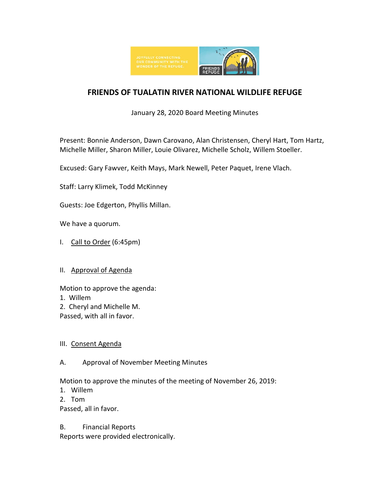

# **FRIENDS OF TUALATIN RIVER NATIONAL WILDLIFE REFUGE**

January 28, 2020 Board Meeting Minutes

Present: Bonnie Anderson, Dawn Carovano, Alan Christensen, Cheryl Hart, Tom Hartz, Michelle Miller, Sharon Miller, Louie Olivarez, Michelle Scholz, Willem Stoeller.

Excused: Gary Fawver, Keith Mays, Mark Newell, Peter Paquet, Irene Vlach.

Staff: Larry Klimek, Todd McKinney

Guests: Joe Edgerton, Phyllis Millan.

We have a quorum.

- I. Call to Order (6:45pm)
- II. Approval of Agenda

Motion to approve the agenda:

- 1. Willem
- 2. Cheryl and Michelle M.

Passed, with all in favor.

#### III. Consent Agenda

## A. Approval of November Meeting Minutes

Motion to approve the minutes of the meeting of November 26, 2019:

- 1. Willem
- 2. Tom

Passed, all in favor.

#### B. Financial Reports

Reports were provided electronically.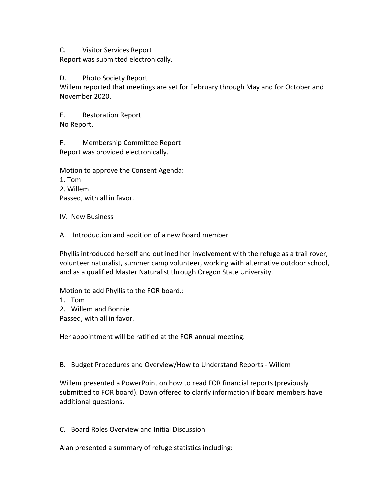C. Visitor Services Report

Report was submitted electronically.

### D. Photo Society Report

Willem reported that meetings are set for February through May and for October and November 2020.

E. Restoration Report No Report.

F. Membership Committee Report Report was provided electronically.

Motion to approve the Consent Agenda:

- 1. Tom
- 2. Willem

Passed, with all in favor.

- IV. New Business
- A. Introduction and addition of a new Board member

Phyllis introduced herself and outlined her involvement with the refuge as a trail rover, volunteer naturalist, summer camp volunteer, working with alternative outdoor school, and as a qualified Master Naturalist through Oregon State University.

Motion to add Phyllis to the FOR board.:

1. Tom

2. Willem and Bonnie

Passed, with all in favor.

Her appointment will be ratified at the FOR annual meeting.

B. Budget Procedures and Overview/How to Understand Reports - Willem

Willem presented a PowerPoint on how to read FOR financial reports (previously submitted to FOR board). Dawn offered to clarify information if board members have additional questions.

C. Board Roles Overview and Initial Discussion

Alan presented a summary of refuge statistics including: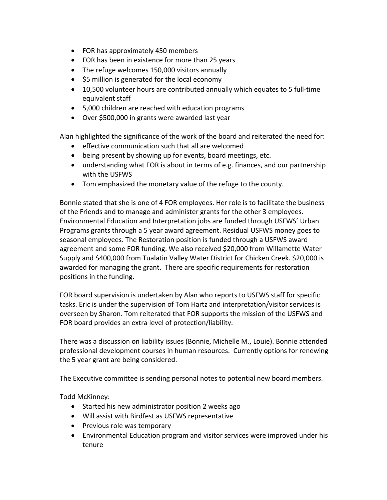- FOR has approximately 450 members
- FOR has been in existence for more than 25 years
- The refuge welcomes 150,000 visitors annually
- \$5 million is generated for the local economy
- 10,500 volunteer hours are contributed annually which equates to 5 full-time equivalent staff
- 5,000 children are reached with education programs
- Over \$500,000 in grants were awarded last year

Alan highlighted the significance of the work of the board and reiterated the need for:

- effective communication such that all are welcomed
- being present by showing up for events, board meetings, etc.
- understanding what FOR is about in terms of e.g. finances, and our partnership with the USFWS
- Tom emphasized the monetary value of the refuge to the county.

Bonnie stated that she is one of 4 FOR employees. Her role is to facilitate the business of the Friends and to manage and administer grants for the other 3 employees. Environmental Education and Interpretation jobs are funded through USFWS' Urban Programs grants through a 5 year award agreement. Residual USFWS money goes to seasonal employees. The Restoration position is funded through a USFWS award agreement and some FOR funding. We also received \$20,000 from Willamette Water Supply and \$400,000 from Tualatin Valley Water District for Chicken Creek. \$20,000 is awarded for managing the grant. There are specific requirements for restoration positions in the funding.

FOR board supervision is undertaken by Alan who reports to USFWS staff for specific tasks. Eric is under the supervision of Tom Hartz and interpretation/visitor services is overseen by Sharon. Tom reiterated that FOR supports the mission of the USFWS and FOR board provides an extra level of protection/liability.

There was a discussion on liability issues (Bonnie, Michelle M., Louie). Bonnie attended professional development courses in human resources. Currently options for renewing the 5 year grant are being considered.

The Executive committee is sending personal notes to potential new board members.

Todd McKinney:

- Started his new administrator position 2 weeks ago
- Will assist with Birdfest as USFWS representative
- Previous role was temporary
- Environmental Education program and visitor services were improved under his tenure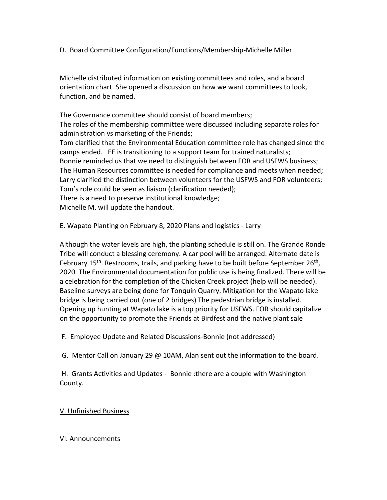D. Board Committee Configuration/Functions/Membership-Michelle Miller

Michelle distributed information on existing committees and roles, and a board orientation chart. She opened a discussion on how we want committees to look, function, and be named.

The Governance committee should consist of board members; The roles of the membership committee were discussed including separate roles for administration vs marketing of the Friends; Tom clarified that the Environmental Education committee role has changed since the

camps ended. EE is transitioning to a support team for trained naturalists; Bonnie reminded us that we need to distinguish between FOR and USFWS business; The Human Resources committee is needed for compliance and meets when needed; Larry clarified the distinction between volunteers for the USFWS and FOR volunteers; Tom's role could be seen as liaison (clarification needed); There is a need to preserve institutional knowledge;

Michelle M. will update the handout.

E. Wapato Planting on February 8, 2020 Plans and logistics - Larry

Although the water levels are high, the planting schedule is still on. The Grande Ronde Tribe will conduct a blessing ceremony. A car pool will be arranged. Alternate date is February  $15<sup>th</sup>$ . Restrooms, trails, and parking have to be built before September  $26<sup>th</sup>$ , 2020. The Environmental documentation for public use is being finalized. There will be a celebration for the completion of the Chicken Creek project (help will be needed). Baseline surveys are being done for Tonquin Quarry. Mitigation for the Wapato lake bridge is being carried out (one of 2 bridges) The pedestrian bridge is installed. Opening up hunting at Wapato lake is a top priority for USFWS. FOR should capitalize on the opportunity to promote the Friends at Birdfest and the native plant sale

F. Employee Update and Related Discussions-Bonnie (not addressed)

G. Mentor Call on January 29 @ 10AM, Alan sent out the information to the board.

H. Grants Activities and Updates - Bonnie :there are a couple with Washington County.

V. Unfinished Business

#### VI. Announcements